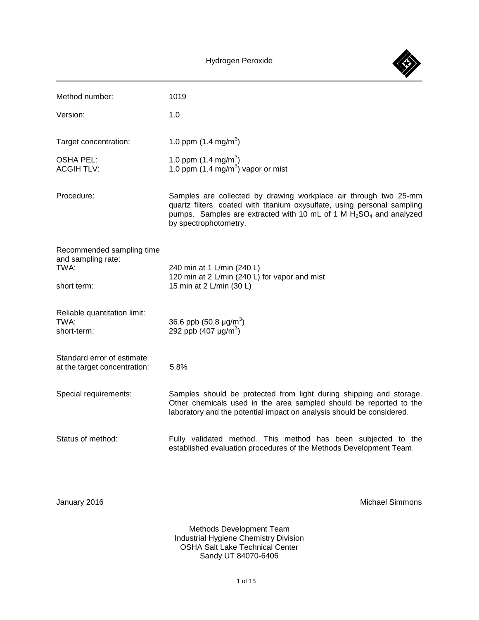

| Method number:                                                         | 1019                                                                                                                                                                                                                                           |
|------------------------------------------------------------------------|------------------------------------------------------------------------------------------------------------------------------------------------------------------------------------------------------------------------------------------------|
| Version:                                                               | 1.0                                                                                                                                                                                                                                            |
| Target concentration:                                                  | 1.0 ppm $(1.4 \text{ mg/m}^3)$                                                                                                                                                                                                                 |
| <b>OSHA PEL:</b><br><b>ACGIH TLV:</b>                                  | 1.0 ppm $(1.4 \text{ mg/m}^3)$<br>1.0 ppm $(1.4 \text{ mg/m}^3)$ vapor or mist                                                                                                                                                                 |
| Procedure:                                                             | Samples are collected by drawing workplace air through two 25-mm<br>quartz filters, coated with titanium oxysulfate, using personal sampling<br>pumps. Samples are extracted with 10 mL of 1 M $H_2SO_4$ and analyzed<br>by spectrophotometry. |
| Recommended sampling time<br>and sampling rate:<br>TWA:<br>short term: | 240 min at 1 L/min (240 L)<br>120 min at 2 L/min (240 L) for vapor and mist<br>15 min at 2 L/min (30 L)                                                                                                                                        |
| Reliable quantitation limit:<br>TWA:<br>short-term:                    | 36.6 ppb $(50.8 \text{ µg/m}^3)$<br>292 ppb (407 $\mu$ g/m <sup>3</sup> )                                                                                                                                                                      |
| Standard error of estimate<br>at the target concentration:             | 5.8%                                                                                                                                                                                                                                           |
| Special requirements:                                                  | Samples should be protected from light during shipping and storage.<br>Other chemicals used in the area sampled should be reported to the<br>laboratory and the potential impact on analysis should be considered.                             |
| Status of method:                                                      | Fully validated method. This method has been subjected to the<br>established evaluation procedures of the Methods Development Team.                                                                                                            |
| January 2016                                                           | <b>Michael Simmons</b>                                                                                                                                                                                                                         |
|                                                                        | Methods Development Team<br><b>Industrial Hygiene Chemistry Division</b><br><b>OSHA Salt Lake Technical Center</b>                                                                                                                             |

Sandy UT 84070-6406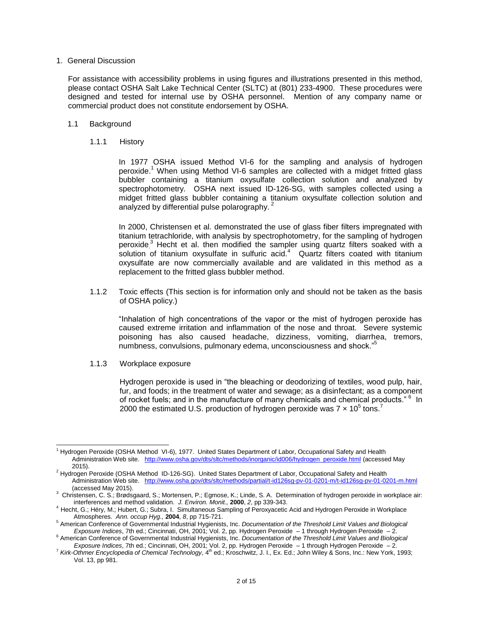## 1. General Discussion

For assistance with accessibility problems in using figures and illustrations presented in this method, please contact OSHA Salt Lake Technical Center (SLTC) at (801) 233-4900. These procedures were designed and tested for internal use by OSHA personnel. Mention of any company name or commercial product does not constitute endorsement by OSHA.

# 1.1 Background

# 1.1.1 History

In 1977 OSHA issued Method VI-6 for the sampling and analysis of hydrogen peroxide.<sup>1</sup> When using Method VI-6 samples are collected with a midget fritted glass bubbler containing a titanium oxysulfate collection solution and analyzed by spectrophotometry. OSHA next issued ID-126-SG, with samples collected using a midget fritted glass bubbler containing a titanium oxysulfate collection solution and analyzed by differential pulse polarography. <sup>2</sup>

In 2000, Christensen et al. demonstrated the use of glass fiber filters impregnated with titanium tetrachloride, with analysis by spectrophotometry, for the sampling of hydrogen peroxide<sup>3</sup> Hecht et al. then modified the sampler using quartz filters soaked with a solution of titanium oxysulfate in sulfuric acid. $4\degree$  Quartz filters coated with titanium oxysulfate are now commercially available and are validated in this method as a replacement to the fritted glass bubbler method.

1.1.2 Toxic effects (This section is for information only and should not be taken as the basis of OSHA policy.)

"Inhalation of high concentrations of the vapor or the mist of hydrogen peroxide has caused extreme irritation and inflammation of the nose and throat. Severe systemic poisoning has also caused headache, dizziness, vomiting, diarrhea, tremors, numbness, convulsions, pulmonary edema, unconsciousness and shock."<sup>5</sup>

1.1.3 Workplace exposure

Hydrogen peroxide is used in "the bleaching or deodorizing of textiles, wood pulp, hair, fur, and foods; in the treatment of water and sewage; as a disinfectant; as a component of rocket fuels; and in the manufacture of many chemicals and chemical products." <sup>6</sup> In 2000 the estimated U.S. production of hydrogen peroxide was 7  $\times$  10<sup>5</sup> tons.<sup>7</sup>

l <sup>1</sup> Hydrogen Peroxide (OSHA Method VI-6), 1977. United States Department of Labor, Occupational Safety and Health Administration Web site. [http://www.osha.gov/dts/sltc/methods/inorganic/id006/hydrogen\\_peroxide.html](http://www.osha.gov/dts/sltc/methods/inorganic/id006/hydrogen_peroxide.html) (accessed May 2015).

<sup>&</sup>lt;sup>2</sup> Hydrogen Peroxide (OSHA Method ID-126-SG). United States Department of Labor, Occupational Safety and Health Administration Web site. <http://www.osha.gov/dts/sltc/methods/partial/t-id126sg-pv-01-0201-m/t-id126sg-pv-01-0201-m.html> (accessed May 2015).

<sup>3</sup> Christensen, C. S.; Brødsgaard, S.; Mortensen, P.; Egmose, K.; Linde, S. A. Determination of hydrogen peroxide in workplace air: interferences and method validation. *J. Environ. Monit.,* **2000**, *2*, pp 339-343.

<sup>4</sup> Hecht, G.; Héry, M.; Hubert, G.; Subra, I. Simultaneous Sampling of Peroxyacetic Acid and Hydrogen Peroxide in Workplace Atmospheres. *Ann. occup Hyg.,* **2004**, *8*, pp 715-721.

<sup>5</sup> American Conference of Governmental Industrial Hygienists, Inc. *Documentation of the Threshold Limit Values and Biological Exposure Indices*, 7th ed.; Cincinnati, OH, 2001; Vol. 2, pp. Hydrogen Peroxide – 1 through Hydrogen Peroxide – 2.

<sup>6</sup> American Conference of Governmental Industrial Hygienists, Inc. *Documentation of the Threshold Limit Values and Biological* 

Exposure Indices, 7th ed.; Cincinnati, OH, 2001; Vol. 2, pp. Hydrogen Peroxide – 1 through Hydrogen Peroxide – 2.<br><sup>7</sup> Kirk-Othmer Encyclopedia of Chemical Technology, 4<sup>th</sup> ed.; Kroschwitz, J. I., Ex. Ed.; John Wiley & Vol. 13, pp 981.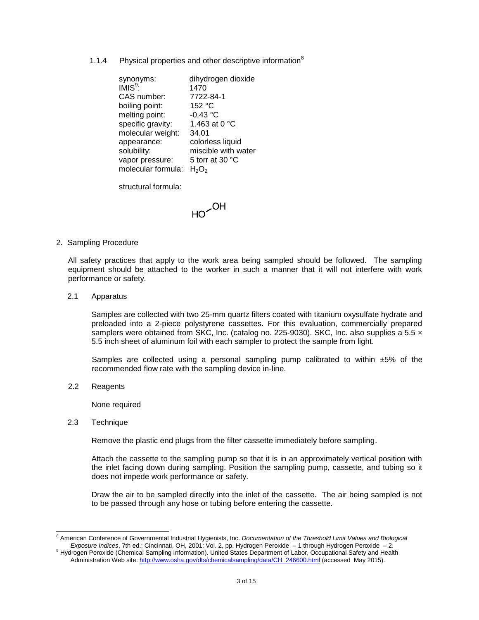1.1.4 Physical properties and other descriptive information<sup>8</sup>

| synonyms:          | dihydrogen dioxide  |
|--------------------|---------------------|
| $IMIS9$ :          | 1470                |
| CAS number:        | 7722-84-1           |
| boiling point:     | 152 °C              |
| melting point:     | $-0.43 °C$          |
| specific gravity:  | 1.463 at 0 °C       |
| molecular weight:  | 34.01               |
| appearance:        | colorless liquid    |
| solubility:        | miscible with water |
| vapor pressure:    | 5 torr at 30 °C     |
| molecular formula: | $H_2O_2$            |
|                    |                     |

structural formula:

 $HO<sub>COH</sub>$ 

2. Sampling Procedure

All safety practices that apply to the work area being sampled should be followed. The sampling equipment should be attached to the worker in such a manner that it will not interfere with work performance or safety.

2.1 Apparatus

Samples are collected with two 25-mm quartz filters coated with titanium oxysulfate hydrate and preloaded into a 2-piece polystyrene cassettes. For this evaluation, commercially prepared samplers were obtained from SKC, Inc. (catalog no. 225-9030). SKC, Inc. also supplies a  $5.5 \times$ 5.5 inch sheet of aluminum foil with each sampler to protect the sample from light.

Samples are collected using a personal sampling pump calibrated to within  $\pm 5\%$  of the recommended flow rate with the sampling device in-line.

2.2 Reagents

None required

2.3 Technique

l

Remove the plastic end plugs from the filter cassette immediately before sampling.

Attach the cassette to the sampling pump so that it is in an approximately vertical position with the inlet facing down during sampling. Position the sampling pump, cassette, and tubing so it does not impede work performance or safety.

Draw the air to be sampled directly into the inlet of the cassette. The air being sampled is not to be passed through any hose or tubing before entering the cassette.

<sup>&</sup>lt;sup>8</sup> American Conference of Governmental Industrial Hygienists, Inc. *Documentation of the Threshold Limit Values and Biological Exposure Indices*, 7th ed.; Cincinnati, OH, 2001; Vol. 2, pp. Hydrogen Peroxide – 1 through Hydrogen Peroxide – 2.

<sup>9</sup> Hydrogen Peroxide (Chemical Sampling Information). United States Department of Labor, Occupational Safety and Health Administration Web site[. http://www.osha.gov/dts/chemicalsampling/data/CH\\_246600.html](http://www.osha.gov/dts/chemicalsampling/data/CH_246600.html) (accessed May 2015).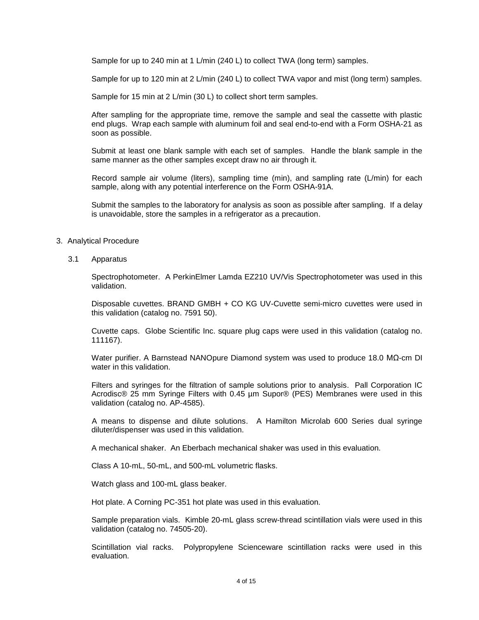Sample for up to 240 min at 1 L/min (240 L) to collect TWA (long term) samples.

Sample for up to 120 min at 2 L/min (240 L) to collect TWA vapor and mist (long term) samples.

Sample for 15 min at 2 L/min (30 L) to collect short term samples.

After sampling for the appropriate time, remove the sample and seal the cassette with plastic end plugs. Wrap each sample with aluminum foil and seal end-to-end with a Form OSHA-21 as soon as possible.

Submit at least one blank sample with each set of samples. Handle the blank sample in the same manner as the other samples except draw no air through it.

Record sample air volume (liters), sampling time (min), and sampling rate (L/min) for each sample, along with any potential interference on the Form OSHA-91A.

Submit the samples to the laboratory for analysis as soon as possible after sampling. If a delay is unavoidable, store the samples in a refrigerator as a precaution.

## 3. Analytical Procedure

3.1 Apparatus

Spectrophotometer. A PerkinElmer Lamda EZ210 UV/Vis Spectrophotometer was used in this validation.

Disposable cuvettes. BRAND GMBH + CO KG UV-Cuvette semi-micro cuvettes were used in this validation (catalog no. 7591 50).

Cuvette caps. Globe Scientific Inc. square plug caps were used in this validation (catalog no. 111167).

Water purifier. A Barnstead NANOpure Diamond system was used to produce 18.0 MΩ-cm DI water in this validation.

Filters and syringes for the filtration of sample solutions prior to analysis. Pall Corporation IC Acrodisc® 25 mm Syringe Filters with 0.45 µm Supor® (PES) Membranes were used in this validation (catalog no. AP-4585).

A means to dispense and dilute solutions. A Hamilton Microlab 600 Series dual syringe diluter/dispenser was used in this validation.

A mechanical shaker. An Eberbach mechanical shaker was used in this evaluation.

Class A 10-mL, 50-mL, and 500-mL volumetric flasks.

Watch glass and 100-mL glass beaker.

Hot plate. A Corning PC-351 hot plate was used in this evaluation.

Sample preparation vials. Kimble 20-mL glass screw-thread scintillation vials were used in this validation (catalog no. 74505-20).

Scintillation vial racks. Polypropylene Scienceware scintillation racks were used in this evaluation.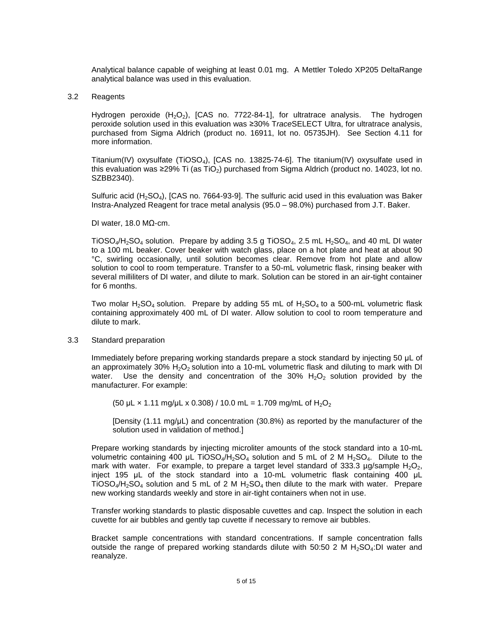Analytical balance capable of weighing at least 0.01 mg. A Mettler Toledo XP205 DeltaRange analytical balance was used in this evaluation.

## 3.2 Reagents

Hydrogen peroxide  $(H_2O_2)$ , [CAS no. 7722-84-1], for ultratrace analysis. The hydrogen peroxide solution used in this evaluation was ≥30% T*race*SELECT Ultra, for ultratrace analysis, purchased from Sigma Aldrich (product no. 16911, lot no. 05735JH). See Section 4.11 for more information.

Titanium(IV) oxysulfate (TiOSO<sub>4</sub>), [CAS no. 13825-74-6]. The titanium(IV) oxysulfate used in this evaluation was ≥29% Ti (as TiO<sub>2</sub>) purchased from Sigma Aldrich (product no. 14023, lot no. SZBB2340).

Sulfuric acid (H<sub>2</sub>SO<sub>4</sub>), [CAS no. 7664-93-9]. The sulfuric acid used in this evaluation was Baker Instra-Analyzed Reagent for trace metal analysis (95.0 – 98.0%) purchased from J.T. Baker.

DI water, 18.0 MΩ-cm.

TiOSO<sub>4</sub>/H<sub>2</sub>SO<sub>4</sub> solution. Prepare by adding 3.5 g TiOSO<sub>4</sub>, 2.5 mL H<sub>2</sub>SO<sub>4</sub>, and 40 mL DI water to a 100 mL beaker. Cover beaker with watch glass, place on a hot plate and heat at about 90 °C, swirling occasionally, until solution becomes clear. Remove from hot plate and allow solution to cool to room temperature. Transfer to a 50-mL volumetric flask, rinsing beaker with several milliliters of DI water, and dilute to mark. Solution can be stored in an air-tight container for 6 months.

Two molar H<sub>2</sub>SO<sub>4</sub> solution. Prepare by adding 55 mL of H<sub>2</sub>SO<sub>4</sub> to a 500-mL volumetric flask containing approximately 400 mL of DI water. Allow solution to cool to room temperature and dilute to mark.

3.3 Standard preparation

Immediately before preparing working standards prepare a stock standard by injecting 50 μL of an approximately 30%  $H_2O_2$  solution into a 10-mL volumetric flask and diluting to mark with DI water. Use the density and concentration of the 30%  $H_2O_2$  solution provided by the manufacturer. For example:

 $(50 \mu L \times 1.11 \text{ mg}/\mu L \times 0.308) / 10.0 \text{ mL} = 1.709 \text{ mg/mL of H<sub>2</sub>O<sub>2</sub>$ 

[Density (1.11 mg/ $\mu$ L) and concentration (30.8%) as reported by the manufacturer of the solution used in validation of method.]

Prepare working standards by injecting microliter amounts of the stock standard into a 10-mL volumetric containing 400 μL TiOSO<sub>4</sub>/H<sub>2</sub>SO<sub>4</sub> solution and 5 mL of 2 M H<sub>2</sub>SO<sub>4</sub>. Dilute to the mark with water. For example, to prepare a target level standard of 333.3 µg/sample  $H_2O_2$ , inject 195 μL of the stock standard into a 10-mL volumetric flask containing 400 μL TiOSO<sub>4</sub>/H<sub>2</sub>SO<sub>4</sub> solution and 5 mL of 2 M H<sub>2</sub>SO<sub>4</sub> then dilute to the mark with water. Prepare new working standards weekly and store in air-tight containers when not in use.

Transfer working standards to plastic disposable cuvettes and cap. Inspect the solution in each cuvette for air bubbles and gently tap cuvette if necessary to remove air bubbles.

Bracket sample concentrations with standard concentrations. If sample concentration falls outside the range of prepared working standards dilute with 50:50 2 M H<sub>2</sub>SO<sub>4</sub>:DI water and reanalyze.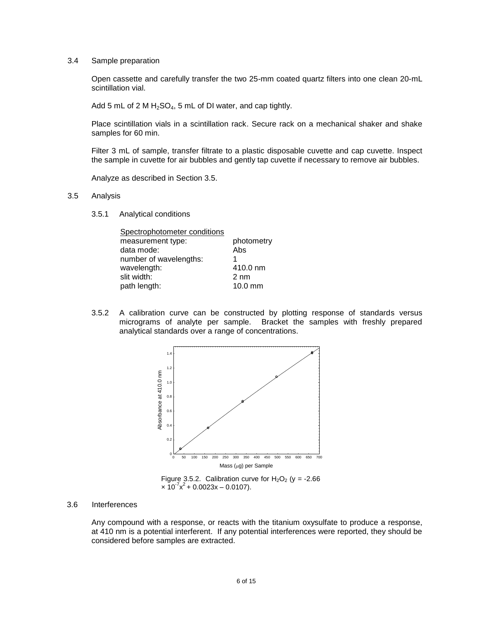# 3.4 Sample preparation

Open cassette and carefully transfer the two 25-mm coated quartz filters into one clean 20-mL scintillation vial.

Add 5 mL of 2 M  $H_2SO_4$ , 5 mL of DI water, and cap tightly.

Place scintillation vials in a scintillation rack. Secure rack on a mechanical shaker and shake samples for 60 min.

Filter 3 mL of sample, transfer filtrate to a plastic disposable cuvette and cap cuvette. Inspect the sample in cuvette for air bubbles and gently tap cuvette if necessary to remove air bubbles.

Analyze as described in Section 3.5.

- 3.5 Analysis
	- 3.5.1 Analytical conditions

| Spectrophotometer conditions |                |
|------------------------------|----------------|
| measurement type:            | photometry     |
| data mode:                   | Abs            |
| number of wavelengths:       |                |
| wavelength:                  | 410.0 nm       |
| slit width:                  | $2 \text{ nm}$ |
| path length:                 | $10.0$ mm      |
|                              |                |

3.5.2 A calibration curve can be constructed by plotting response of standards versus micrograms of analyte per sample. Bracket the samples with freshly prepared analytical standards over a range of concentrations.



Figure 3.5.2. Calibration curve for  $H_2O_2$  (y = -2.66  $\times$  10<sup>-7</sup> $x^2$  + 0.0023x – 0.0107).

### 3.6 Interferences

Any compound with a response, or reacts with the titanium oxysulfate to produce a response, at 410 nm is a potential interferent. If any potential interferences were reported, they should be considered before samples are extracted.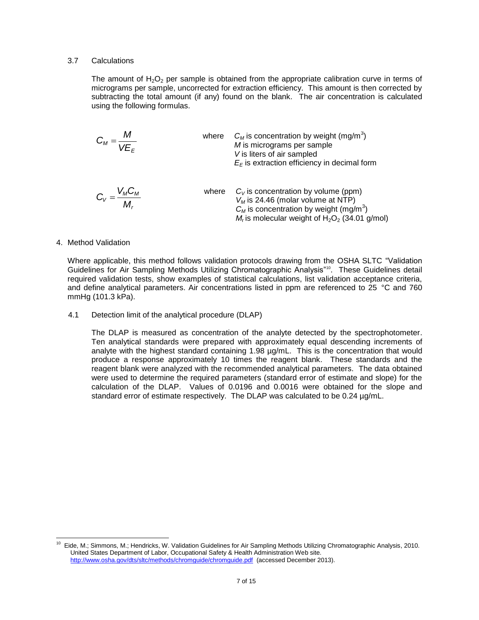# 3.7 Calculations

The amount of  $H_2O_2$  per sample is obtained from the appropriate calibration curve in terms of micrograms per sample, uncorrected for extraction efficiency. This amount is then corrected by subtracting the total amount (if any) found on the blank. The air concentration is calculated using the following formulas.

$$
C_{M} = \frac{M}{VE_{E}}
$$
\nwhere  $C_{M}$  is concentration by weight (mg/m<sup>3</sup>)  
\n*M* is micrograms per sample  
\n*V* is liters of air sampled  
\n $E_{E}$  is extraction efficiency in decimal form  
\n $C_{V} = \frac{V_{M}C_{M}}{M_{r}}$   
\nwhere  $C_{V}$  is concentration by volume (ppm)  
\n $V_{M}$  is 24.46 (molar volume at NTP)  
\n $C_{M}$  is concentration by weight (mg/m<sup>3</sup>)  
\n $M_{r}$  is molecular weight of H<sub>2</sub>O<sub>2</sub> (34.01 g/mol)

## 4. Method Validation

Where applicable, this method follows validation protocols drawing from the OSHA SLTC "Validation Guidelines for Air Sampling Methods Utilizing Chromatographic Analysis"<sup>10</sup>. These Guidelines detail required validation tests, show examples of statistical calculations, list validation acceptance criteria, and define analytical parameters. Air concentrations listed in ppm are referenced to 25 °C and 760 mmHg (101.3 kPa).

4.1 Detection limit of the analytical procedure (DLAP)

The DLAP is measured as concentration of the analyte detected by the spectrophotometer. Ten analytical standards were prepared with approximately equal descending increments of analyte with the highest standard containing  $1.98 \mu g/mL$ . This is the concentration that would produce a response approximately 10 times the reagent blank. These standards and the reagent blank were analyzed with the recommended analytical parameters. The data obtained were used to determine the required parameters (standard error of estimate and slope) for the calculation of the DLAP. Values of 0.0196 and 0.0016 were obtained for the slope and standard error of estimate respectively. The DLAP was calculated to be 0.24 µg/mL.

 10 Eide, M.; Simmons, M.; Hendricks, W. Validation Guidelines for Air Sampling Methods Utilizing Chromatographic Analysis, 2010. United States Department of Labor, Occupational Safety & Health Administration Web site. <http://www.osha.gov/dts/sltc/methods/chromguide/chromguide.pdf> (accessed December 2013).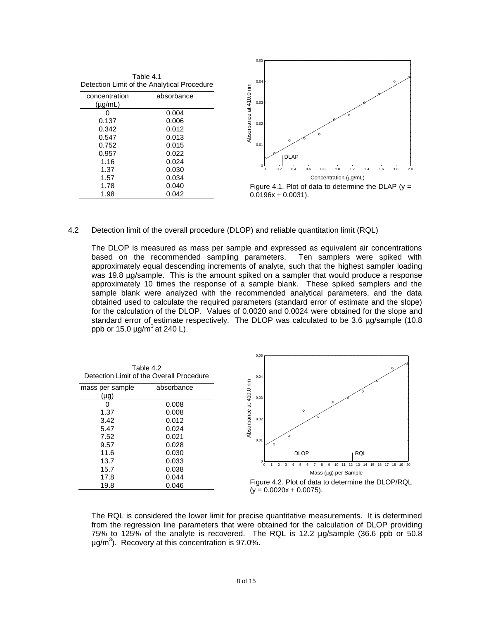| Table 4.1<br>Detection Limit of the Analytical Procedure |            |  |  |  |
|----------------------------------------------------------|------------|--|--|--|
| concentration<br>(µg/mL)                                 | absorbance |  |  |  |
|                                                          | 0.004      |  |  |  |
| 0.137                                                    | 0.006      |  |  |  |
| 0.342                                                    | 0.012      |  |  |  |
| 0.547                                                    | 0.013      |  |  |  |
| 0.752                                                    | 0.015      |  |  |  |
| 0.957                                                    | 0.022      |  |  |  |
| 1.16                                                     | 0.024      |  |  |  |
| 1.37                                                     | 0.030      |  |  |  |

0.034 0.040 0.042

1.57 1.78 1.98



 $0.0196x + 0.0031$ ).

## 4.2 Detection limit of the overall procedure (DLOP) and reliable quantitation limit (RQL)

The DLOP is measured as mass per sample and expressed as equivalent air concentrations based on the recommended sampling parameters. Ten samplers were spiked with approximately equal descending increments of analyte, such that the highest sampler loading was 19.8 µg/sample. This is the amount spiked on a sampler that would produce a response approximately 10 times the response of a sample blank. These spiked samplers and the sample blank were analyzed with the recommended analytical parameters, and the data obtained used to calculate the required parameters (standard error of estimate and the slope) for the calculation of the DLOP. Values of 0.0020 and 0.0024 were obtained for the slope and standard error of estimate respectively. The DLOP was calculated to be 3.6 µg/sample (10.8) ppb or 15.0  $\mu$ g/m $^3$  at 240 L).

| Table 4.2<br>Detection Limit of the Overall Procedure |            |  |  |  |  |
|-------------------------------------------------------|------------|--|--|--|--|
| mass per sample                                       | absorbance |  |  |  |  |
| $(\mu q)$                                             |            |  |  |  |  |
| O                                                     | 0.008      |  |  |  |  |
| 1.37                                                  | 0.008      |  |  |  |  |
| 3.42                                                  | 0.012      |  |  |  |  |
| 5.47                                                  | 0.024      |  |  |  |  |
| 7.52                                                  | 0.021      |  |  |  |  |
| 9.57                                                  | 0.028      |  |  |  |  |
| 11.6                                                  | 0.030      |  |  |  |  |
| 13.7                                                  | 0.033      |  |  |  |  |
| 15.7                                                  | 0.038      |  |  |  |  |
| 17.8                                                  | 0.044      |  |  |  |  |
| 19.8                                                  | 0.046      |  |  |  |  |



Figure 4.2. Plot of data to determine the DLOP/RQL  $(y = 0.0020x + 0.0075)$ .

The RQL is considered the lower limit for precise quantitative measurements. It is determined from the regression line parameters that were obtained for the calculation of DLOP providing 75% to 125% of the analyte is recovered. The RQL is 12.2 µg/sample (36.6 ppb or 50.8  $\mu$ g/m<sup>3</sup>). Recovery at this concentration is 97.0%.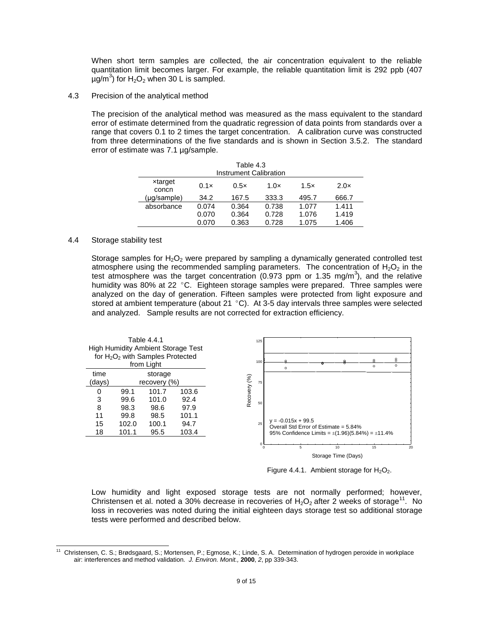When short term samples are collected, the air concentration equivalent to the reliable quantitation limit becomes larger. For example, the reliable quantitation limit is 292 ppb (407  $\mu$ g/m<sup>3</sup>) for H<sub>2</sub>O<sub>2</sub> when 30 L is sampled.

4.3 Precision of the analytical method

The precision of the analytical method was measured as the mass equivalent to the standard error of estimate determined from the quadratic regression of data points from standards over a range that covers 0.1 to 2 times the target concentration. A calibration curve was constructed from three determinations of the five standards and is shown in Section 3.5.2. The standard error of estimate was 7.1 µg/sample.

| Table 4.3<br>Instrument Calibration |       |       |       |       |       |
|-------------------------------------|-------|-------|-------|-------|-------|
| xtarget<br>concn                    | 0.1x  | 0.5x  | 1.0x  | 1.5x  | 2.0x  |
| (µg/sample)                         | 34.2  | 167.5 | 333.3 | 495.7 | 666.7 |
| absorbance                          | 0.074 | 0.364 | 0.738 | 1.077 | 1.411 |
|                                     | 0.070 | 0.364 | 0.728 | 1.076 | 1.419 |
|                                     | 0.070 | 0.363 | 0.728 | 1.075 | 1.406 |

# 4.4 Storage stability test

Storage samples for  $H_2O_2$  were prepared by sampling a dynamically generated controlled test atmosphere using the recommended sampling parameters. The concentration of  $H_2O_2$  in the test atmosphere was the target concentration (0.973 ppm or 1.35 mg/m<sup>3</sup>), and the relative humidity was 80% at 22  $\degree$ C. Eighteen storage samples were prepared. Three samples were analyzed on the day of generation. Fifteen samples were protected from light exposure and stored at ambient temperature (about 21 $\degree$ C). At 3-5 day intervals three samples were selected and analyzed. Sample results are not corrected for extraction efficiency.



Figure 4.4.1. Ambient storage for  $H_2O_2$ .

Low humidity and light exposed storage tests are not normally performed; however, Christensen et al. noted a 30% decrease in recoveries of  $H_2O_2$  after 2 weeks of storage<sup>11</sup>. No loss in recoveries was noted during the initial eighteen days storage test so additional storage tests were performed and described below.

l 11 Christensen, C. S.; Brødsgaard, S.; Mortensen, P.; Egmose, K.; Linde, S. A. Determination of hydrogen peroxide in workplace air: interferences and method validation. *J. Environ. Monit.,* **2000**, *2*, pp 339-343.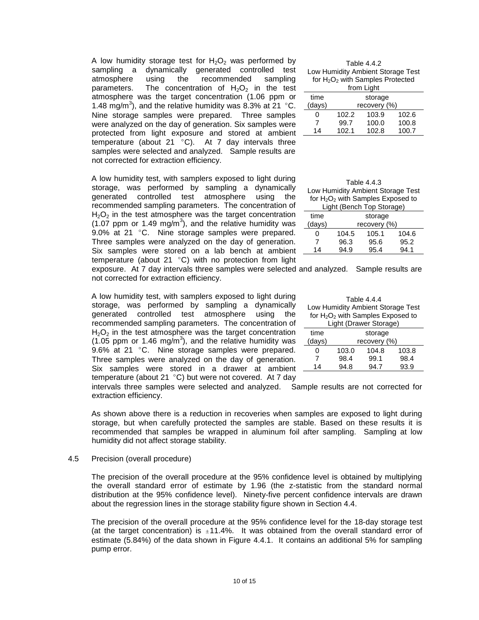A low humidity storage test for  $H_2O_2$  was performed by sampling a dynamically generated controlled test atmosphere using the recommended sampling parameters. The concentration of  $H_2O_2$  in the test atmosphere was the target concentration (1.06 ppm or 1.48 mg/m<sup>3</sup>), and the relative humidity was 8.3% at 21 °C. Nine storage samples were prepared. Three samples were analyzed on the day of generation. Six samples were protected from light exposure and stored at ambient temperature (about 21  $^{\circ}$ C). At 7 day intervals three samples were selected and analyzed. Sample results are not corrected for extraction efficiency.

A low humidity test, with samplers exposed to light during storage, was performed by sampling a dynamically generated controlled test atmosphere using the recommended sampling parameters. The concentration of  $H_2O_2$  in the test atmosphere was the target concentration  $(1.07$  ppm or 1.49 mg/m<sup>3</sup>), and the relative humidity was 9.0% at 21 °C. Nine storage samples were prepared. Three samples were analyzed on the day of generation. Six samples were stored on a lab bench at ambient temperature (about 21 $\degree$ C) with no protection from light

Table 4.4.2 Low Humidity Ambient Storage Test for H<sub>2</sub>O<sub>2</sub> with Samples Protected from Light

|        |              | понгычн |       |  |
|--------|--------------|---------|-------|--|
| time   | storage      |         |       |  |
| (days) | recovery (%) |         |       |  |
| 0      | 102.2        | 103.9   | 102.6 |  |
|        | 99.7         | 100.0   | 100.8 |  |
| 14     | 102.1        | 102.8   | 100.7 |  |
|        |              |         |       |  |

| Table 4.4.3<br>Low Humidity Ambient Storage Test<br>for $H_2O_2$ with Samples Exposed to<br>Light (Bench Top Storage) |              |       |       |  |
|-----------------------------------------------------------------------------------------------------------------------|--------------|-------|-------|--|
| time                                                                                                                  | storage      |       |       |  |
| (days)                                                                                                                | recovery (%) |       |       |  |
| 0                                                                                                                     | 104.5        | 105.1 | 104.6 |  |
| 7                                                                                                                     | 96.3         | 95.6  | 95.2  |  |
| 14                                                                                                                    | 94.9         | 95.4  | 94.1  |  |

exposure. At 7 day intervals three samples were selected and analyzed. Sample results are not corrected for extraction efficiency.

A low humidity test, with samplers exposed to light during storage, was performed by sampling a dynamically generated controlled test atmosphere using the recommended sampling parameters. The concentration of  $H_2O_2$  in the test atmosphere was the target concentration  $(1.05$  ppm or 1.46 mg/m<sup>3</sup>), and the relative humidity was 9.6% at 21  $^{\circ}$ C. Nine storage samples were prepared. Three samples were analyzed on the day of generation. Six samples were stored in a drawer at ambient temperature (about 21 $^{\circ}$ C) but were not covered. At 7 day

| Table 4.4.4 |         |                                      |       |  |  |
|-------------|---------|--------------------------------------|-------|--|--|
|             |         | Low Humidity Ambient Storage Test    |       |  |  |
|             |         | for $H_2O_2$ with Samples Exposed to |       |  |  |
|             |         | Light (Drawer Storage)               |       |  |  |
| time        | storage |                                      |       |  |  |
| (days)      |         | recovery (%)                         |       |  |  |
| 0           | 103.0   | 104.8                                | 103.8 |  |  |
| 7           | 98.4    | 99.1                                 | 98.4  |  |  |
| 14          | 94.8    | 94 7                                 | 93.9  |  |  |

intervals three samples were selected and analyzed. Sample results are not corrected for extraction efficiency.

As shown above there is a reduction in recoveries when samples are exposed to light during storage, but when carefully protected the samples are stable. Based on these results it is recommended that samples be wrapped in aluminum foil after sampling. Sampling at low humidity did not affect storage stability.

### 4.5 Precision (overall procedure)

The precision of the overall procedure at the 95% confidence level is obtained by multiplying the overall standard error of estimate by 1.96 (the z-statistic from the standard normal distribution at the 95% confidence level). Ninety-five percent confidence intervals are drawn about the regression lines in the storage stability figure shown in Section 4.4.

The precision of the overall procedure at the 95% confidence level for the 18-day storage test (at the target concentration) is  $\pm 11.4\%$ . It was obtained from the overall standard error of estimate (5.84%) of the data shown in Figure 4.4.1. It contains an additional 5% for sampling pump error.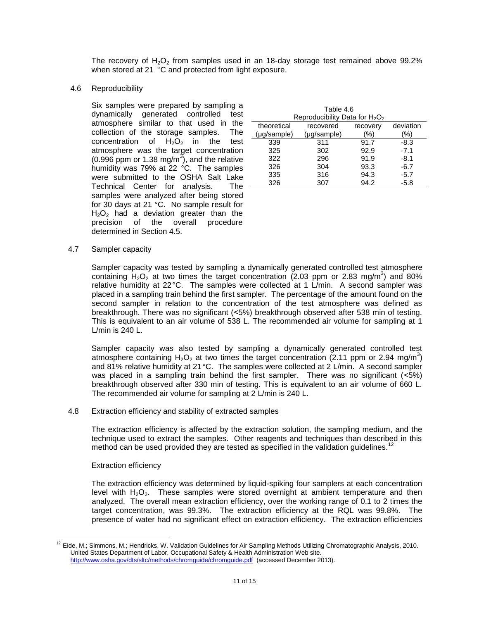The recovery of  $H_2O_2$  from samples used in an 18-day storage test remained above 99.2% when stored at 21 °C and protected from light exposure.

4.6 Reproducibility

Six samples were prepared by sampling a dynamically generated controlled test atmosphere similar to that used in the collection of the storage samples. The concentration of  $H_2O_2$  in the test atmosphere was the target concentration  $(0.996$  ppm or 1.38 mg/m<sup>3</sup>), and the relative humidity was 79% at 22 °C. The samples were submitted to the OSHA Salt Lake Technical Center for analysis. The samples were analyzed after being stored for 30 days at 21 °C. No sample result for  $H<sub>2</sub>O<sub>2</sub>$  had a deviation greater than the precision of the overall procedure determined in Section 4.5.

| Table 4.6<br>Reproducibility Data for $H_2O_2$ |             |          |           |  |  |
|------------------------------------------------|-------------|----------|-----------|--|--|
| theoretical                                    | recovered   | recovery | deviation |  |  |
| $(\mu q$ /sample)                              | (µg/sample) | %)       | %)        |  |  |
| 339                                            | 311         | 91.7     | $-8.3$    |  |  |
| 325                                            | 302         | 92.9     | $-7.1$    |  |  |
| 322                                            | 296         | 91.9     | $-8.1$    |  |  |
| 326                                            | 304         | 93.3     | $-6.7$    |  |  |
| 335                                            | 316         | 94.3     | $-5.7$    |  |  |
| 326                                            | 307         | 94.2     | -5.8      |  |  |

4.7 Sampler capacity

Sampler capacity was tested by sampling a dynamically generated controlled test atmosphere containing  $H_2O_2$  at two times the target concentration (2.03 ppm or 2.83 mg/m<sup>3</sup>) and 80% relative humidity at 22°C. The samples were collected at 1 L/min. A second sampler was placed in a sampling train behind the first sampler. The percentage of the amount found on the second sampler in relation to the concentration of the test atmosphere was defined as breakthrough. There was no significant (˂5%) breakthrough observed after 538 min of testing. This is equivalent to an air volume of 538 L. The recommended air volume for sampling at 1 L/min is 240 L.

Sampler capacity was also tested by sampling a dynamically generated controlled test atmosphere containing  $H_2O_2$  at two times the target concentration (2.11 ppm or 2.94 mg/m<sup>3</sup>) and 81% relative humidity at 21°C. The samples were collected at 2 L/min. A second sampler was placed in a sampling train behind the first sampler. There was no significant (<5%) breakthrough observed after 330 min of testing. This is equivalent to an air volume of 660 L. The recommended air volume for sampling at 2 L/min is 240 L.

4.8 Extraction efficiency and stability of extracted samples

The extraction efficiency is affected by the extraction solution, the sampling medium, and the technique used to extract the samples. Other reagents and techniques than described in this method can be used provided they are tested as specified in the validation guidelines.<sup>12</sup>

# Extraction efficiency

l

The extraction efficiency was determined by liquid-spiking four samplers at each concentration level with  $H_2O_2$ . These samples were stored overnight at ambient temperature and then analyzed. The overall mean extraction efficiency, over the working range of 0.1 to 2 times the target concentration, was 99.3%. The extraction efficiency at the RQL was 99.8%. The presence of water had no significant effect on extraction efficiency. The extraction efficiencies

 $12$  Eide, M.; Simmons, M.; Hendricks, W. Validation Guidelines for Air Sampling Methods Utilizing Chromatographic Analysis, 2010. United States Department of Labor, Occupational Safety & Health Administration Web site. <http://www.osha.gov/dts/sltc/methods/chromguide/chromguide.pdf> (accessed December 2013).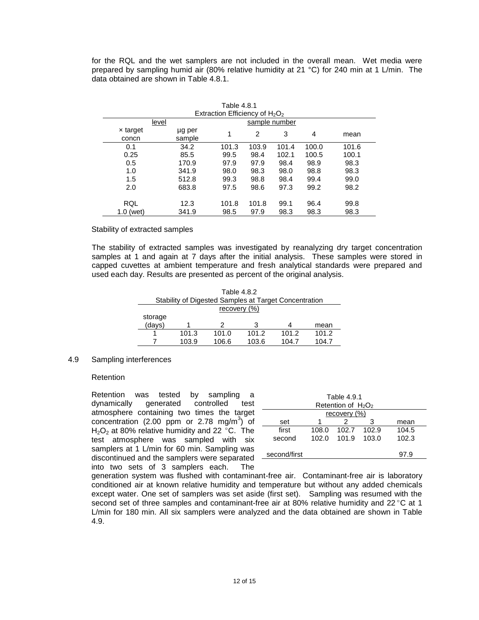for the RQL and the wet samplers are not included in the overall mean. Wet media were prepared by sampling humid air (80% relative humidity at 21 °C) for 240 min at 1 L/min. The data obtained are shown in Table 4.8.1.

| Table 4.8.1              |                  |                                   |                |               |       |       |
|--------------------------|------------------|-----------------------------------|----------------|---------------|-------|-------|
|                          |                  | Extraction Efficiency of $H_2O_2$ |                |               |       |       |
| level                    |                  |                                   |                | sample number |       |       |
| $\times$ target<br>concn | µg per<br>sample | 1                                 | $\overline{2}$ | 3             | 4     | mean  |
| 0.1                      | 34.2             | 101.3                             | 103.9          | 101.4         | 100.0 | 101.6 |
| 0.25                     | 85.5             | 99.5                              | 98.4           | 102.1         | 100.5 | 100.1 |
| 0.5                      | 170.9            | 97.9                              | 97.9           | 98.4          | 98.9  | 98.3  |
| 1.0                      | 341.9            | 98.0                              | 98.3           | 98.0          | 98.8  | 98.3  |
| 1.5                      | 512.8            | 99.3                              | 98.8           | 98.4          | 99.4  | 99.0  |
| 2.0                      | 683.8            | 97.5                              | 98.6           | 97.3          | 99.2  | 98.2  |
| RQL                      | 12.3             | 101.8                             | 101.8          | 99.1          | 96.4  | 99.8  |
| $1.0$ (wet)              | 341.9            | 98.5                              | 97.9           | 98.3          | 98.3  | 98.3  |

## Stability of extracted samples

The stability of extracted samples was investigated by reanalyzing dry target concentration samples at 1 and again at 7 days after the initial analysis. These samples were stored in capped cuvettes at ambient temperature and fresh analytical standards were prepared and used each day. Results are presented as percent of the original analysis.

| Table 4.8.2 |                                                       |              |       |       |       |  |  |
|-------------|-------------------------------------------------------|--------------|-------|-------|-------|--|--|
|             | Stability of Digested Samples at Target Concentration |              |       |       |       |  |  |
|             |                                                       | recovery (%) |       |       |       |  |  |
| storage     |                                                       |              |       |       |       |  |  |
| (days)      |                                                       |              | 3     |       | mean  |  |  |
|             | 101.3                                                 | 101.0        | 101.2 | 101.2 | 101.2 |  |  |
|             | 103.9                                                 | 106.6        | 103.6 | 104.7 | 104.7 |  |  |

# 4.9 Sampling interferences

### Retention

Retention was tested by sampling a dynamically generated controlled test atmosphere containing two times the target concentration (2.00 ppm or 2.78 mg/m<sup>3</sup>) of  $H<sub>2</sub>O<sub>2</sub>$  at 80% relative humidity and 22 °C. The test atmosphere was sampled with six samplers at 1 L/min for 60 min. Sampling was discontinued and the samplers were separated into two sets of 3 samplers each. The

| Table 4.9.1<br>Retention of $H_2O_2$ |       |       |       |       |  |  |
|--------------------------------------|-------|-------|-------|-------|--|--|
| recovery (%)                         |       |       |       |       |  |  |
| set                                  |       |       | З     | mean  |  |  |
| first                                | 108.0 | 102.7 | 102.9 | 104.5 |  |  |
| second                               | 102.0 | 101.9 | 103.0 | 102.3 |  |  |
|                                      |       |       |       |       |  |  |
| second/first                         |       |       |       | 97.9  |  |  |

generation system was flushed with contaminant-free air. Contaminant-free air is laboratory conditioned air at known relative humidity and temperature but without any added chemicals except water. One set of samplers was set aside (first set). Sampling was resumed with the second set of three samples and contaminant-free air at 80% relative humidity and 22 $^{\circ}$ C at 1 L/min for 180 min. All six samplers were analyzed and the data obtained are shown in Table 4.9.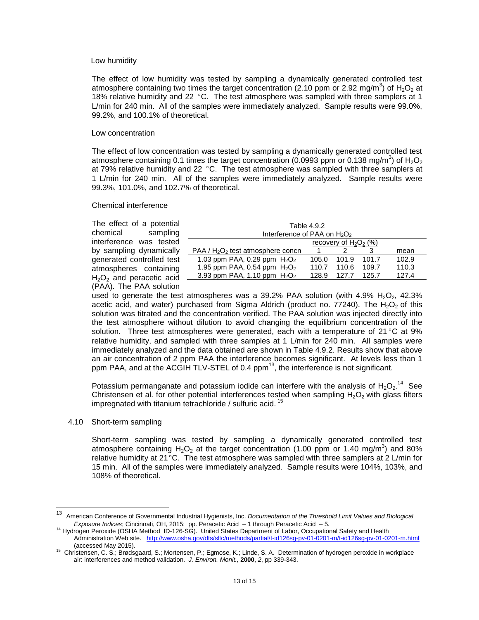### Low humidity

The effect of low humidity was tested by sampling a dynamically generated controlled test atmosphere containing two times the target concentration (2.10 ppm or 2.92 mg/m<sup>3</sup>) of H<sub>2</sub>O<sub>2</sub> at 18% relative humidity and 22  $^{\circ}$ C. The test atmosphere was sampled with three samplers at 1 L/min for 240 min. All of the samples were immediately analyzed. Sample results were 99.0%, 99.2%, and 100.1% of theoretical.

### Low concentration

The effect of low concentration was tested by sampling a dynamically generated controlled test atmosphere containing 0.1 times the target concentration (0.0993 ppm or 0.138 mg/m<sup>3</sup>) of H<sub>2</sub>O<sub>2</sub> at 79% relative humidity and 22  $^{\circ}$ C. The test atmosphere was sampled with three samplers at 1 L/min for 240 min. All of the samples were immediately analyzed. Sample results were 99.3%, 101.0%, and 102.7% of theoretical.

# Chemical interference

The effect of a potential chemical sampling interference was tested by sampling dynamically generated controlled test atmospheres containing  $H<sub>2</sub>O<sub>2</sub>$  and peracetic acid (PAA). The PAA solution

| Table 4.9.2                     |                         |       |  |  |  |  |  |
|---------------------------------|-------------------------|-------|--|--|--|--|--|
| Interference of PAA on $H_2O_2$ |                         |       |  |  |  |  |  |
| recovery of $H_2O_2$ (%)        |                         |       |  |  |  |  |  |
|                                 |                         | mean  |  |  |  |  |  |
| 101.9                           | 101.7                   | 102.9 |  |  |  |  |  |
| 110.6                           | 109.7                   | 110.3 |  |  |  |  |  |
| 127.7                           | 125.7                   | 127.4 |  |  |  |  |  |
|                                 | 105.0<br>110.7<br>128.9 |       |  |  |  |  |  |

used to generate the test atmospheres was a 39.2% PAA solution (with  $4.9\%$  H<sub>2</sub>O<sub>2</sub>, 42.3%) acetic acid, and water) purchased from Sigma Aldrich (product no. 77240). The  $H_2O_2$  of this solution was titrated and the concentration verified. The PAA solution was injected directly into the test atmosphere without dilution to avoid changing the equilibrium concentration of the solution. Three test atmospheres were generated, each with a temperature of  $21^{\circ}$ C at 9% relative humidity, and sampled with three samples at 1 L/min for 240 min. All samples were immediately analyzed and the data obtained are shown in Table 4.9.2. Results show that above an air concentration of 2 ppm PAA the interference becomes significant. At levels less than 1 ppm PAA, and at the ACGIH TLV-STEL of 0.4  $ppm<sup>13</sup>$ , the interference is not significant.

Potassium permanganate and potassium iodide can interfere with the analysis of  $H_2O_2$ .<sup>14</sup> See Christensen et al. for other potential interferences tested when sampling  $H_2O_2$  with glass filters impregnated with titanium tetrachloride / sulfuric acid. <sup>15</sup>

### 4.10 Short-term sampling

l

Short-term sampling was tested by sampling a dynamically generated controlled test atmosphere containing  $H_2O_2$  at the target concentration (1.00 ppm or 1.40 mg/m<sup>3</sup>) and 80% relative humidity at 21°C. The test atmosphere was sampled with three samplers at 2 L/min for 15 min. All of the samples were immediately analyzed. Sample results were 104%, 103%, and 108% of theoretical.

<sup>13</sup> American Conference of Governmental Industrial Hygienists, Inc. *Documentation of the Threshold Limit Values and Biological Exposure Indices*; Cincinnati, OH, 2015; pp. Peracetic Acid – 1 through Peracetic Acid – 5.

<sup>14</sup> Hydrogen Peroxide (OSHA Method ID-126-SG). United States Department of Labor, Occupational Safety and Health Administration Web site. <http://www.osha.gov/dts/sltc/methods/partial/t-id126sg-pv-01-0201-m/t-id126sg-pv-01-0201-m.html> (accessed May 2015).

<sup>&</sup>lt;sup>15</sup> Christensen, C. S.; Brødsgaard, S.; Mortensen, P.; Egmose, K.; Linde, S. A. Determination of hydrogen peroxide in workplace air: interferences and method validation. *J. Environ. Monit.,* **2000**, *2*, pp 339-343.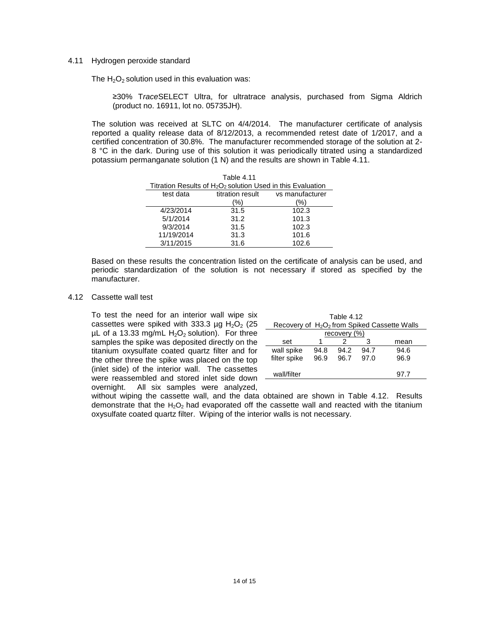# 4.11 Hydrogen peroxide standard

The  $H_2O_2$  solution used in this evaluation was:

≥30% T*race*SELECT Ultra, for ultratrace analysis, purchased from Sigma Aldrich (product no. 16911, lot no. 05735JH).

The solution was received at SLTC on 4/4/2014. The manufacturer certificate of analysis reported a quality release data of 8/12/2013, a recommended retest date of 1/2017, and a certified concentration of 30.8%. The manufacturer recommended storage of the solution at 2- 8 °C in the dark. During use of this solution it was periodically titrated using a standardized potassium permanganate solution (1 N) and the results are shown in Table 4.11.

| Table 4.11                                                     |                                     |       |  |  |  |  |  |
|----------------------------------------------------------------|-------------------------------------|-------|--|--|--|--|--|
| Titration Results of $H_2O_2$ solution Used in this Evaluation |                                     |       |  |  |  |  |  |
| test data                                                      | titration result<br>vs manufacturer |       |  |  |  |  |  |
|                                                                | %)                                  | '%)   |  |  |  |  |  |
| 4/23/2014                                                      | 31.5                                | 102.3 |  |  |  |  |  |
| 5/1/2014                                                       | 31.2                                | 101.3 |  |  |  |  |  |
| 9/3/2014                                                       | 31.5                                | 102.3 |  |  |  |  |  |
| 11/19/2014                                                     | 31.3                                | 101.6 |  |  |  |  |  |
| 3/11/2015                                                      | 31.6                                | 102.6 |  |  |  |  |  |

Based on these results the concentration listed on the certificate of analysis can be used, and periodic standardization of the solution is not necessary if stored as specified by the manufacturer.

4.12 Cassette wall test

To test the need for an interior wall wipe six cassettes were spiked with 333.3  $\mu$ g H<sub>2</sub>O<sub>2</sub> (25)  $\mu$ L of a 13.33 mg/mL H<sub>2</sub>O<sub>2</sub> solution). For three samples the spike was deposited directly on the titanium oxysulfate coated quartz filter and for the other three the spike was placed on the top (inlet side) of the interior wall. The cassettes were reassembled and stored inlet side down overnight. All six samples were analyzed,

| Table 4.12<br>Recovery of $H_2O_2$ from Spiked Cassette Walls |      |      |      |      |  |  |
|---------------------------------------------------------------|------|------|------|------|--|--|
| recovery (%)                                                  |      |      |      |      |  |  |
| set                                                           |      |      | з    | mean |  |  |
| wall spike                                                    | 94.8 | 94.2 | 94.7 | 94.6 |  |  |
| filter spike                                                  | 96.9 | 96.7 | 97.0 | 96.9 |  |  |
|                                                               |      |      |      |      |  |  |
| wall/filter                                                   |      |      |      | 97.7 |  |  |

without wiping the cassette wall, and the data obtained are shown in Table 4.12. Results demonstrate that the  $H_2O_2$  had evaporated off the cassette wall and reacted with the titanium oxysulfate coated quartz filter. Wiping of the interior walls is not necessary.